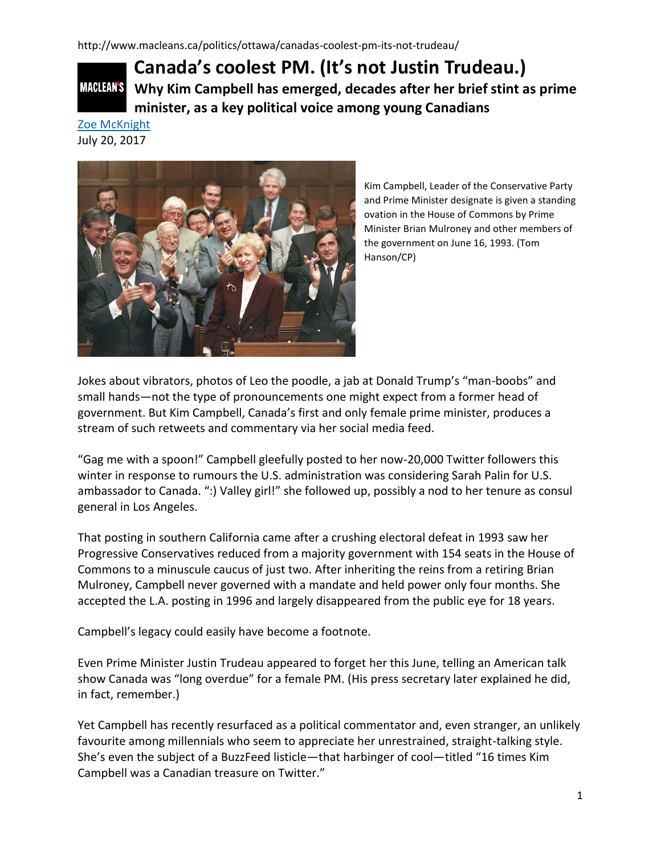## **Canada's coolest PM. (It's not Justin Trudeau.) MACLEAN'S Why Kim Campbell has emerged, decades after her brief stint as prime minister, as a key political voice among young Canadians**

[Zoe McKnight](http://www.macleans.ca/author/zoe-mcknight/) July 20, 2017



Kim Campbell, Leader of the Conservative Party and Prime Minister designate is given a standing ovation in the House of Commons by Prime Minister Brian Mulroney and other members of the government on June 16, 1993. (Tom Hanson/CP)

Jokes about vibrators, photos of Leo the poodle, a jab at Donald Trump's "man-boobs" and small hands—not the type of pronouncements one might expect from a former head of government. But Kim Campbell, Canada's first and only female prime minister, produces a stream of such retweets and commentary via her social media feed.

"Gag me with a spoon!" Campbell gleefully posted to her now-20,000 Twitter followers this winter in response to rumours the U.S. administration was considering Sarah Palin for U.S. ambassador to Canada. ":) Valley girl!" she followed up, possibly a nod to her tenure as consul general in Los Angeles.

That posting in southern California came after a crushing electoral defeat in 1993 saw her Progressive Conservatives reduced from a majority government with 154 seats in the House of Commons to a minuscule caucus of just two. After inheriting the reins from a retiring Brian Mulroney, Campbell never governed with a mandate and held power only four months. She accepted the L.A. posting in 1996 and largely disappeared from the public eye for 18 years.

Campbell's legacy could easily have become a footnote.

Even Prime Minister Justin Trudeau appeared to forget her this June, telling an American talk show Canada was "long overdue" for a female PM. (His press secretary later explained he did, in fact, remember.)

Yet Campbell has recently resurfaced as a political commentator and, even stranger, an unlikely favourite among millennials who seem to appreciate her unrestrained, straight-talking style. She's even the subject of a BuzzFeed listicle—that harbinger of cool—titled "16 times Kim Campbell was a Canadian treasure on Twitter."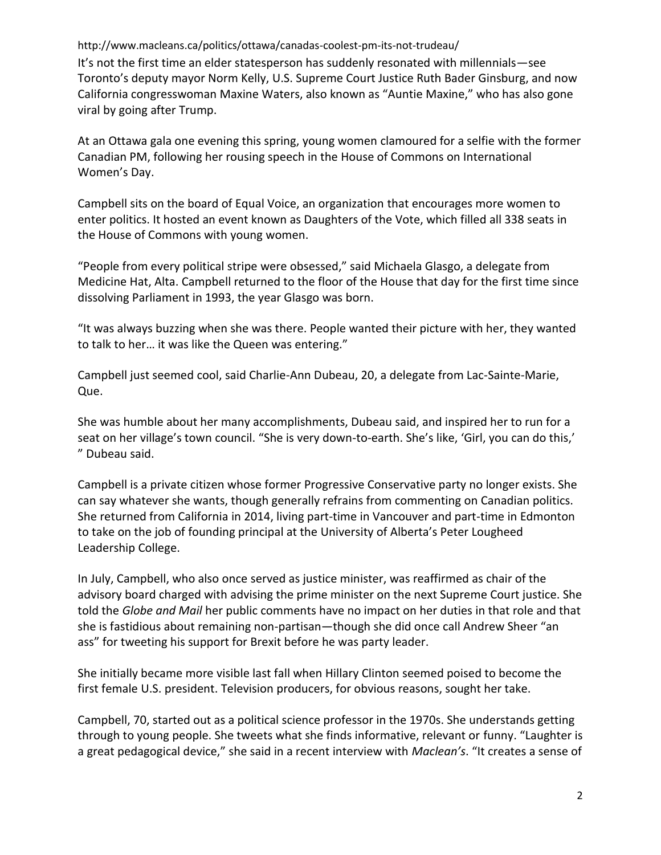http://www.macleans.ca/politics/ottawa/canadas-coolest-pm-its-not-trudeau/ It's not the first time an elder statesperson has suddenly resonated with millennials—see Toronto's deputy mayor Norm Kelly, U.S. Supreme Court Justice Ruth Bader Ginsburg, and now California congresswoman Maxine Waters, also known as "Auntie Maxine," who has also gone viral by going after Trump.

At an Ottawa gala one evening this spring, young women clamoured for a selfie with the former Canadian PM, following her rousing speech in the House of Commons on International Women's Day.

Campbell sits on the board of Equal Voice, an organization that encourages more women to enter politics. It hosted an event known as Daughters of the Vote, which filled all 338 seats in the House of Commons with young women.

"People from every political stripe were obsessed," said Michaela Glasgo, a delegate from Medicine Hat, Alta. Campbell returned to the floor of the House that day for the first time since dissolving Parliament in 1993, the year Glasgo was born.

"It was always buzzing when she was there. People wanted their picture with her, they wanted to talk to her… it was like the Queen was entering."

Campbell just seemed cool, said Charlie-Ann Dubeau, 20, a delegate from Lac-Sainte-Marie, Que.

She was humble about her many accomplishments, Dubeau said, and inspired her to run for a seat on her village's town council. "She is very down-to-earth. She's like, 'Girl, you can do this,' " Dubeau said.

Campbell is a private citizen whose former Progressive Conservative party no longer exists. She can say whatever she wants, though generally refrains from commenting on Canadian politics. She returned from California in 2014, living part-time in Vancouver and part-time in Edmonton to take on the job of founding principal at the University of Alberta's Peter Lougheed Leadership College.

In July, Campbell, who also once served as justice minister, was reaffirmed as chair of the advisory board charged with advising the prime minister on the next Supreme Court justice. She told the *Globe and Mail* her public comments have no impact on her duties in that role and that she is fastidious about remaining non-partisan—though she did once call Andrew Sheer "an ass" for tweeting his support for Brexit before he was party leader.

She initially became more visible last fall when Hillary Clinton seemed poised to become the first female U.S. president. Television producers, for obvious reasons, sought her take.

Campbell, 70, started out as a political science professor in the 1970s. She understands getting through to young people. She tweets what she finds informative, relevant or funny. "Laughter is a great pedagogical device," she said in a recent interview with *Maclean's*. "It creates a sense of